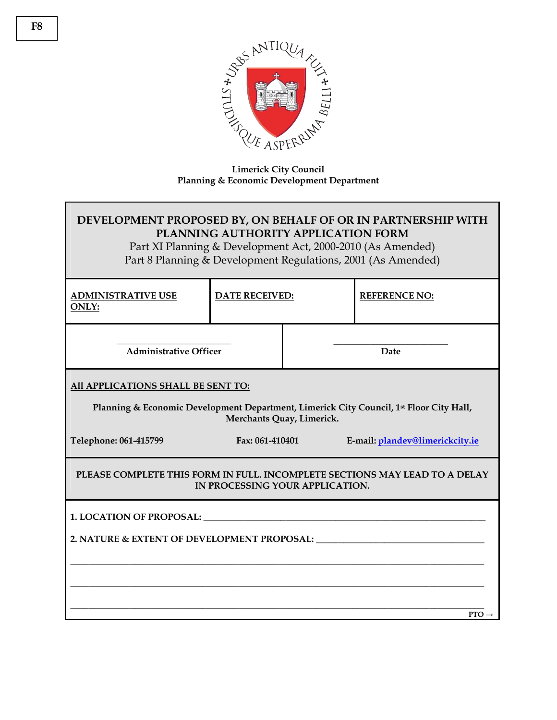

## **Limerick City Council Planning & Economic Development Department**

## **DEVELOPMENT PROPOSED BY, ON BEHALF OF OR IN PARTNERSHIP WITH PLANNING AUTHORITY APPLICATION FORM**

Part XI Planning & Development Act, 2000-2010 (As Amended) Part 8 Planning & Development Regulations, 2001 (As Amended)

| <b>ADMINISTRATIVE USE</b><br><b>ONLY:</b>                                                                            | <b>DATE RECEIVED:</b> |      | <b>REFERENCE NO:</b>            |  |  |
|----------------------------------------------------------------------------------------------------------------------|-----------------------|------|---------------------------------|--|--|
| <b>Administrative Officer</b>                                                                                        |                       | Date |                                 |  |  |
| All APPLICATIONS SHALL BE SENT TO:                                                                                   |                       |      |                                 |  |  |
| Planning & Economic Development Department, Limerick City Council, 1st Floor City Hall,<br>Merchants Quay, Limerick. |                       |      |                                 |  |  |
| Telephone: 061-415799                                                                                                | Fax: 061-410401       |      | E-mail: plandev@limerickcity.ie |  |  |
| PLEASE COMPLETE THIS FORM IN FULL. INCOMPLETE SECTIONS MAY LEAD TO A DELAY<br>IN PROCESSING YOUR APPLICATION.        |                       |      |                                 |  |  |
|                                                                                                                      |                       |      |                                 |  |  |
|                                                                                                                      |                       |      |                                 |  |  |
|                                                                                                                      |                       |      |                                 |  |  |
| $PTO \rightarrow$                                                                                                    |                       |      |                                 |  |  |
|                                                                                                                      |                       |      |                                 |  |  |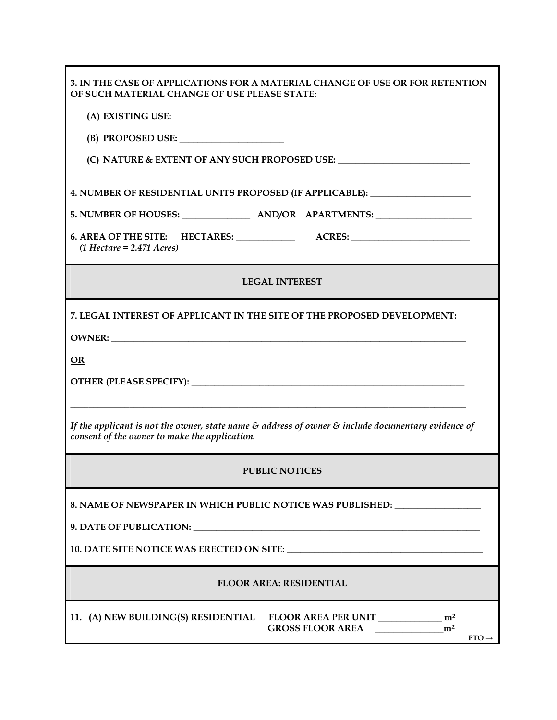| 3. IN THE CASE OF APPLICATIONS FOR A MATERIAL CHANGE OF USE OR FOR RETENTION<br>OF SUCH MATERIAL CHANGE OF USE PLEASE STATE:                                              |  |  |  |
|---------------------------------------------------------------------------------------------------------------------------------------------------------------------------|--|--|--|
|                                                                                                                                                                           |  |  |  |
|                                                                                                                                                                           |  |  |  |
| (C) NATURE & EXTENT OF ANY SUCH PROPOSED USE: __________________________________                                                                                          |  |  |  |
| 4. NUMBER OF RESIDENTIAL UNITS PROPOSED (IF APPLICABLE): _______________________                                                                                          |  |  |  |
| 5. NUMBER OF HOUSES: AND/OR APARTMENTS:                                                                                                                                   |  |  |  |
| $(1$ Hectare = 2.471 Acres)                                                                                                                                               |  |  |  |
| <b>LEGAL INTEREST</b>                                                                                                                                                     |  |  |  |
| 7. LEGAL INTEREST OF APPLICANT IN THE SITE OF THE PROPOSED DEVELOPMENT:                                                                                                   |  |  |  |
|                                                                                                                                                                           |  |  |  |
| <b>OR</b>                                                                                                                                                                 |  |  |  |
|                                                                                                                                                                           |  |  |  |
| If the applicant is not the owner, state name $\mathcal E$ address of owner $\mathcal E$ include documentary evidence of<br>consent of the owner to make the application. |  |  |  |
| <b>PUBLIC NOTICES</b>                                                                                                                                                     |  |  |  |
| 8. NAME OF NEWSPAPER IN WHICH PUBLIC NOTICE WAS PUBLISHED: _____________________                                                                                          |  |  |  |
|                                                                                                                                                                           |  |  |  |
| 10. DATE SITE NOTICE WAS ERECTED ON SITE:                                                                                                                                 |  |  |  |
| <b>FLOOR AREA: RESIDENTIAL</b>                                                                                                                                            |  |  |  |
| 11. (A) NEW BUILDING(S) RESIDENTIAL FLOOR AREA PER UNIT ________________ m <sup>2</sup><br>m <sup>2</sup><br><b>GROSS FLOOR AREA</b><br>$PTO \rightarrow$                 |  |  |  |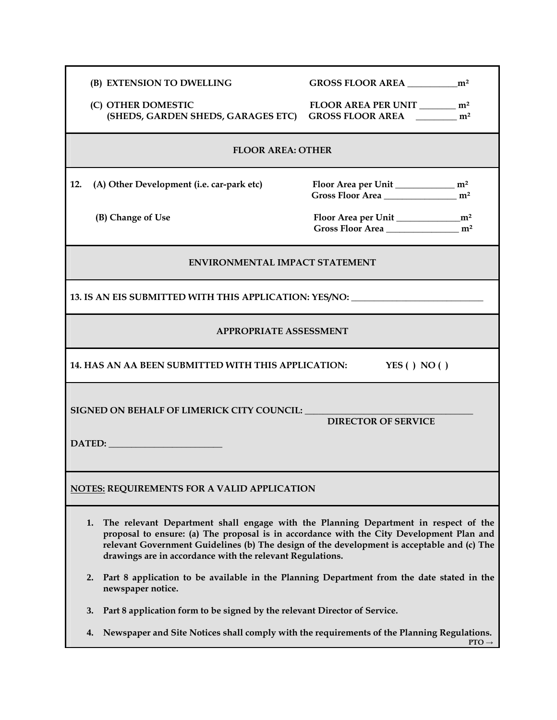| (B) EXTENSION TO DWELLING                                                                                                                                                                                                                                                                                                                        |                                                                                 |  |  |  |
|--------------------------------------------------------------------------------------------------------------------------------------------------------------------------------------------------------------------------------------------------------------------------------------------------------------------------------------------------|---------------------------------------------------------------------------------|--|--|--|
| (C) OTHER DOMESTIC<br>(SHEDS, GARDEN SHEDS, GARAGES ETC)                                                                                                                                                                                                                                                                                         | FLOOR AREA PER UNIT _________ m <sup>2</sup><br>GROSS FLOOR AREA m <sup>2</sup> |  |  |  |
| <b>FLOOR AREA: OTHER</b>                                                                                                                                                                                                                                                                                                                         |                                                                                 |  |  |  |
| 12.<br>(A) Other Development (i.e. car-park etc)                                                                                                                                                                                                                                                                                                 | Gross Floor Area ____________________ m <sup>2</sup>                            |  |  |  |
| (B) Change of Use                                                                                                                                                                                                                                                                                                                                | Gross Floor Area<br>m <sup>2</sup>                                              |  |  |  |
| <b>ENVIRONMENTAL IMPACT STATEMENT</b>                                                                                                                                                                                                                                                                                                            |                                                                                 |  |  |  |
| 13. IS AN EIS SUBMITTED WITH THIS APPLICATION: YES/NO: _________________________                                                                                                                                                                                                                                                                 |                                                                                 |  |  |  |
| <b>APPROPRIATE ASSESSMENT</b>                                                                                                                                                                                                                                                                                                                    |                                                                                 |  |  |  |
| 14. HAS AN AA BEEN SUBMITTED WITH THIS APPLICATION:<br>YES () NO ()                                                                                                                                                                                                                                                                              |                                                                                 |  |  |  |
| SIGNED ON BEHALF OF LIMERICK CITY COUNCIL: The contract of the contract of the contract of the contract of the contract of the contract of the contract of the contract of the contract of the contract of the contract of the<br><b>DIRECTOR OF SERVICE</b>                                                                                     |                                                                                 |  |  |  |
| NOTES: REQUIREMENTS FOR A VALID APPLICATION                                                                                                                                                                                                                                                                                                      |                                                                                 |  |  |  |
| The relevant Department shall engage with the Planning Department in respect of the<br>1.<br>proposal to ensure: (a) The proposal is in accordance with the City Development Plan and<br>relevant Government Guidelines (b) The design of the development is acceptable and (c) The<br>drawings are in accordance with the relevant Regulations. |                                                                                 |  |  |  |
| Part 8 application to be available in the Planning Department from the date stated in the<br>2.<br>newspaper notice.                                                                                                                                                                                                                             |                                                                                 |  |  |  |
| Part 8 application form to be signed by the relevant Director of Service.<br>3.                                                                                                                                                                                                                                                                  |                                                                                 |  |  |  |
| Newspaper and Site Notices shall comply with the requirements of the Planning Regulations.<br>4.<br>$PTO \rightarrow$                                                                                                                                                                                                                            |                                                                                 |  |  |  |

Г

 $\mathbf{PTO} \rightarrow$ 

┑